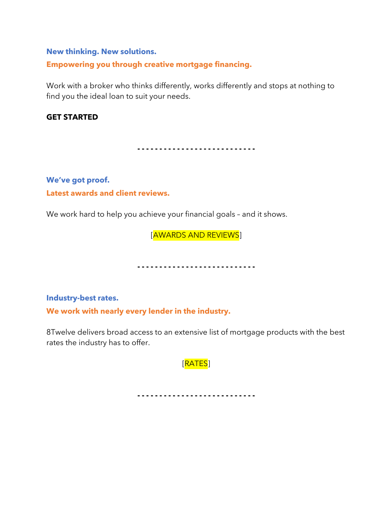#### **New thinking. New solutions.**

**Empowering you through creative mortgage financing.**

Work with a broker who thinks differently, works differently and stops at nothing to find you the ideal loan to suit your needs.

#### **GET STARTED**

**- - - - - - - - - - - - - - - - - - - - - - - - - - -**

**We've got proof. Latest awards and client reviews.**

We work hard to help you achieve your financial goals - and it shows.

[AWARDS AND REVIEWS]

----------------------------

**Industry-best rates.**

**We work with nearly every lender in the industry.**

8Twelve delivers broad access to an extensive list of mortgage products with the best rates the industry has to offer.

[RATES]

----------------------------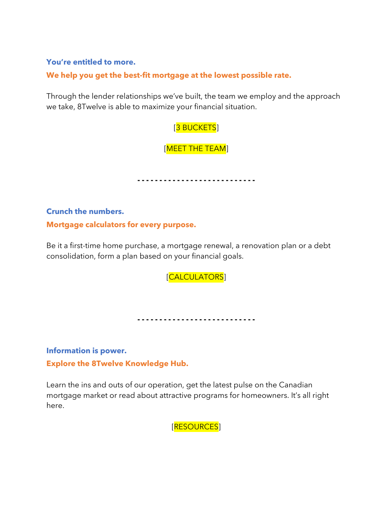#### **You're entitled to more.**

# **We help you get the best-fit mortgage at the lowest possible rate.**

Through the lender relationships we've built, the team we employ and the approach we take, 8Twelve is able to maximize your financial situation.

# [3 BUCKETS]

[MEET THE TEAM]

**- - - - - - - - - - - - - - - - - - - - - - - - - - -**

**Crunch the numbers.**

**Mortgage calculators for every purpose.**

Be it a first-time home purchase, a mortgage renewal, a renovation plan or a debt consolidation, form a plan based on your financial goals.

[CALCULATORS]

**- - - - - - - - - - - - - - - - - - - - - - - - - - -**

**Information is power. Explore the 8Twelve Knowledge Hub.**

Learn the ins and outs of our operation, get the latest pulse on the Canadian mortgage market or read about attractive programs for homeowners. It's all right here.

[RESOURCES]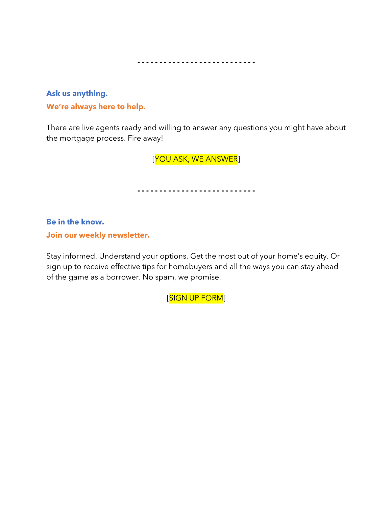----------------------------

**Ask us anything. We're always here to help.**

There are live agents ready and willing to answer any questions you might have about the mortgage process. Fire away!

[YOU ASK, WE ANSWER]

----------------------------

**Be in the know. Join our weekly newsletter.**

Stay informed. Understand your options. Get the most out of your home's equity. Or sign up to receive effective tips for homebuyers and all the ways you can stay ahead of the game as a borrower. No spam, we promise.

[SIGN UP FORM]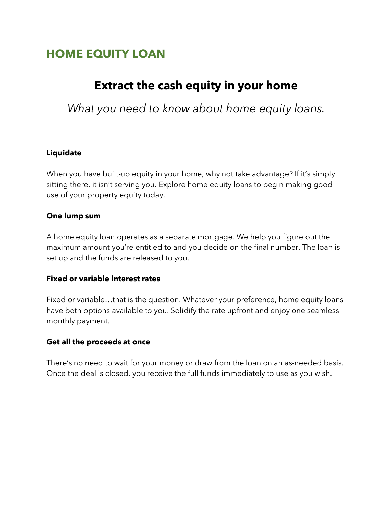# **HOME EQUITY LOAN**

# **Extract the cash equity in your home**

*What you need to know about home equity loans.*

# **Liquidate**

When you have built-up equity in your home, why not take advantage? If it's simply sitting there, it isn't serving you. Explore home equity loans to begin making good use of your property equity today.

# **One lump sum**

A home equity loan operates as a separate mortgage. We help you figure out the maximum amount you're entitled to and you decide on the final number. The loan is set up and the funds are released to you.

# **Fixed or variable interest rates**

Fixed or variable…that is the question. Whatever your preference, home equity loans have both options available to you. Solidify the rate upfront and enjoy one seamless monthly payment.

# **Get all the proceeds at once**

There's no need to wait for your money or draw from the loan on an as-needed basis. Once the deal is closed, you receive the full funds immediately to use as you wish.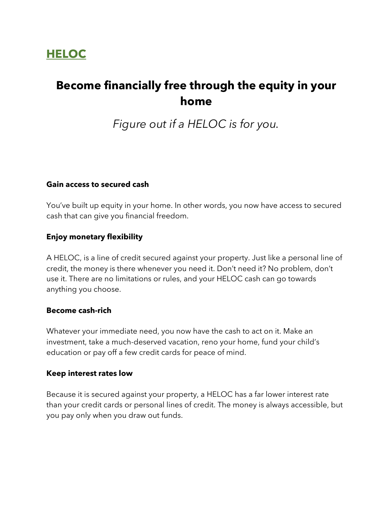# **HELOC**

# **Become financially free through the equity in your home**

*Figure out if a HELOC is for you.*

#### **Gain access to secured cash**

You've built up equity in your home. In other words, you now have access to secured cash that can give you financial freedom.

### **Enjoy monetary flexibility**

A HELOC, is a line of credit secured against your property. Just like a personal line of credit, the money is there whenever you need it. Don't need it? No problem, don't use it. There are no limitations or rules, and your HELOC cash can go towards anything you choose.

#### **Become cash-rich**

Whatever your immediate need, you now have the cash to act on it. Make an investment, take a much-deserved vacation, reno your home, fund your child's education or pay off a few credit cards for peace of mind.

#### **Keep interest rates low**

Because it is secured against your property, a HELOC has a far lower interest rate than your credit cards or personal lines of credit. The money is always accessible, but you pay only when you draw out funds.